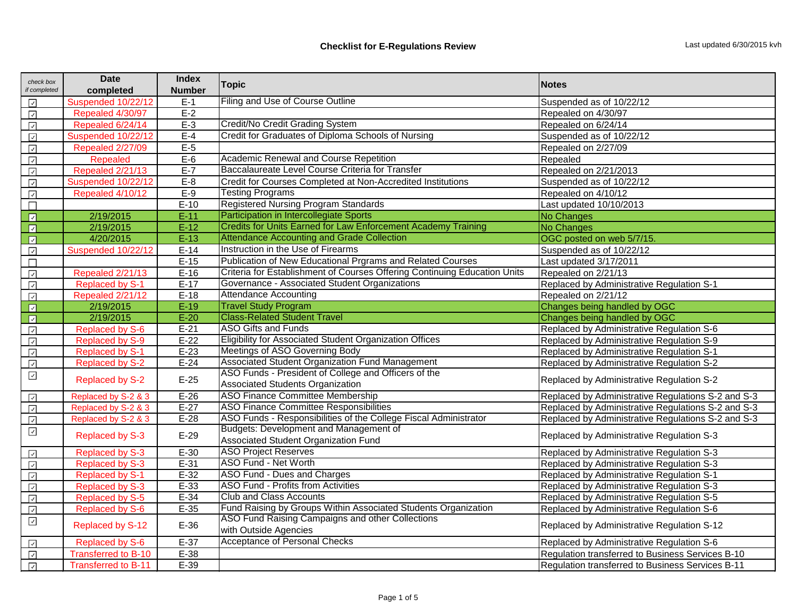| check box<br>if completed                                                                | <b>Date</b><br>completed   | <b>Index</b><br><b>Number</b> | <b>Topic</b>                                                              | <b>Notes</b>                                       |  |
|------------------------------------------------------------------------------------------|----------------------------|-------------------------------|---------------------------------------------------------------------------|----------------------------------------------------|--|
| $\checkmark$                                                                             | Suspended 10/22/12         | $E-1$                         | Filing and Use of Course Outline                                          | Suspended as of 10/22/12                           |  |
| $\sqrt{ }$                                                                               | Repealed 4/30/97           | $E-2$                         |                                                                           | Repealed on 4/30/97                                |  |
| $\checkmark$                                                                             | Repealed 6/24/14           | $E-3$                         | Credit/No Credit Grading System                                           | Repealed on 6/24/14                                |  |
| $\overline{\phantom{a}}$                                                                 | Suspended 10/22/12         | $E-4$                         | Credit for Graduates of Diploma Schools of Nursing                        | Suspended as of 10/22/12                           |  |
| $\overline{\mathcal{L}}$                                                                 | Repealed 2/27/09           | $E-5$                         |                                                                           | Repealed on 2/27/09                                |  |
| $\checkmark$                                                                             | <b>Repealed</b>            | $E-6$                         | <b>Academic Renewal and Course Repetition</b>                             | Repealed                                           |  |
| $\boxed{\checkmark}$                                                                     | Repealed 2/21/13           | $E-7$                         | Baccalaureate Level Course Criteria for Transfer                          | Repealed on 2/21/2013                              |  |
| $\overline{\mathcal{L}}$                                                                 | Suspended 10/22/12         | $E-8$                         | Credit for Courses Completed at Non-Accredited Institutions               | Suspended as of 10/22/12                           |  |
| $\checkmark$                                                                             | Repealed 4/10/12           | $E-9$                         | Testing Programs                                                          | Repealed on 4/10/12                                |  |
| $\Box$                                                                                   |                            | $E-10$                        | <b>Registered Nursing Program Standards</b>                               | Last updated 10/10/2013                            |  |
| $\boxed{v}$                                                                              | 2/19/2015                  | $E-11$                        | Participation in Intercollegiate Sports                                   | No Changes                                         |  |
| $\sqrt{2}$                                                                               | 2/19/2015                  | $E-12$                        | <b>Credits for Units Earned for Law Enforcement Academy Training</b>      | No Changes                                         |  |
| $\sqrt{2}$                                                                               | 4/20/2015                  | $E-13$                        | <b>Attendance Accounting and Grade Collection</b>                         | OGC posted on web 5/7/15.                          |  |
|                                                                                          | Suspended 10/22/12         | $E-14$                        | Instruction in the Use of Firearms                                        | Suspended as of 10/22/12                           |  |
| $\boxed{2}$                                                                              |                            | $E-15$                        | Publication of New Educational Prgrams and Related Courses                | Last updated 3/17/2011                             |  |
|                                                                                          | Repealed 2/21/13           | $E-16$                        | Criteria for Establishment of Courses Offering Continuing Education Units | Repealed on 2/21/13                                |  |
| $\overline{\mathsf{v}}$                                                                  | <b>Replaced by S-1</b>     | $E-17$                        | Governance - Associated Student Organizations                             | Replaced by Administrative Regulation S-1          |  |
| $\checkmark$                                                                             | Repealed 2/21/12           | $E-18$                        | <b>Attendance Accounting</b>                                              | Repealed on 2/21/12                                |  |
| $\boxed{v}$                                                                              | 2/19/2015                  | $E-19$                        | <b>Travel Study Program</b>                                               | Changes being handled by OGC                       |  |
| $\sqrt{2}$                                                                               | 2/19/2015                  | $E-20$                        | <b>Class-Related Student Travel</b>                                       | Changes being handled by OGC                       |  |
|                                                                                          | <b>Replaced by S-6</b>     | $E-21$                        | <b>ASO Gifts and Funds</b>                                                | Replaced by Administrative Regulation S-6          |  |
| $\frac{1}{2}$                                                                            | <b>Replaced by S-9</b>     | $E-22$                        | Eligibility for Associated Student Organization Offices                   | Replaced by Administrative Regulation S-9          |  |
| $\checkmark$                                                                             | <b>Replaced by S-1</b>     | $E-23$                        | <b>Meetings of ASO Governing Body</b>                                     | Replaced by Administrative Regulation S-1          |  |
| $\overline{\mathcal{L}}$                                                                 | <b>Replaced by S-2</b>     | $E-24$                        | Associated Student Organization Fund Management                           | Replaced by Administrative Regulation S-2          |  |
| $\checkmark$                                                                             | Replaced by S-2            | $E-25$                        | ASO Funds - President of College and Officers of the                      |                                                    |  |
|                                                                                          |                            |                               | <b>Associated Students Organization</b>                                   | Replaced by Administrative Regulation S-2          |  |
| $\checkmark$                                                                             | Replaced by S-2 & 3        | $E-26$                        | <b>ASO Finance Committee Membership</b>                                   | Replaced by Administrative Regulations S-2 and S-3 |  |
| $\boxed{\triangledown}$                                                                  | Replaced by S-2 & 3        | $E-27$                        | <b>ASO Finance Committee Responsibilities</b>                             | Replaced by Administrative Regulations S-2 and S-3 |  |
| $\sqrt{2}$                                                                               | Replaced by S-2 & 3        | $E-28$                        | ASO Funds - Responsibilities of the College Fiscal Administrator          | Replaced by Administrative Regulations S-2 and S-3 |  |
| $\checkmark$                                                                             | <b>Replaced by S-3</b>     | $E-29$                        | <b>Budgets: Development and Management of</b>                             | Replaced by Administrative Regulation S-3          |  |
|                                                                                          |                            |                               | <b>Associated Student Organization Fund</b>                               |                                                    |  |
|                                                                                          | <b>Replaced by S-3</b>     | $E-30$                        | <b>ASO Project Reserves</b>                                               | Replaced by Administrative Regulation S-3          |  |
|                                                                                          | <b>Replaced by S-3</b>     | $E-31$                        | <b>ASO Fund - Net Worth</b>                                               | Replaced by Administrative Regulation S-3          |  |
| $\begin{array}{c c} \hline \hline \hline \hline \hline \hline \hline \hline \end{array}$ | <b>Replaced by S-1</b>     | $E-32$                        | ASO Fund - Dues and Charges                                               | Replaced by Administrative Regulation S-1          |  |
|                                                                                          | Replaced by S-3            | $E-33$                        | <b>ASO Fund - Profits from Activities</b>                                 | Replaced by Administrative Regulation S-3          |  |
| $\sqrt{2}$                                                                               | Replaced by S-5            | $E-34$                        | <b>Club and Class Accounts</b>                                            | Replaced by Administrative Regulation S-5          |  |
| $\sqrt{ }$                                                                               | Replaced by S-6            | $E-35$                        | Fund Raising by Groups Within Associated Students Organization            | Replaced by Administrative Regulation S-6          |  |
| $\checkmark$                                                                             | Replaced by S-12           | $E-36$                        | ASO Fund Raising Campaigns and other Collections                          |                                                    |  |
|                                                                                          |                            |                               | with Outside Agencies                                                     | Replaced by Administrative Regulation S-12         |  |
| $\checkmark$                                                                             | <b>Replaced by S-6</b>     | $E-37$                        | <b>Acceptance of Personal Checks</b>                                      | Replaced by Administrative Regulation S-6          |  |
| $\overline{\phantom{a}}$                                                                 | <b>Transferred to B-10</b> | $E-38$                        |                                                                           | Regulation transferred to Business Services B-10   |  |
| $\checkmark$                                                                             | <b>Transferred to B-11</b> | $E-39$                        |                                                                           | Regulation transferred to Business Services B-11   |  |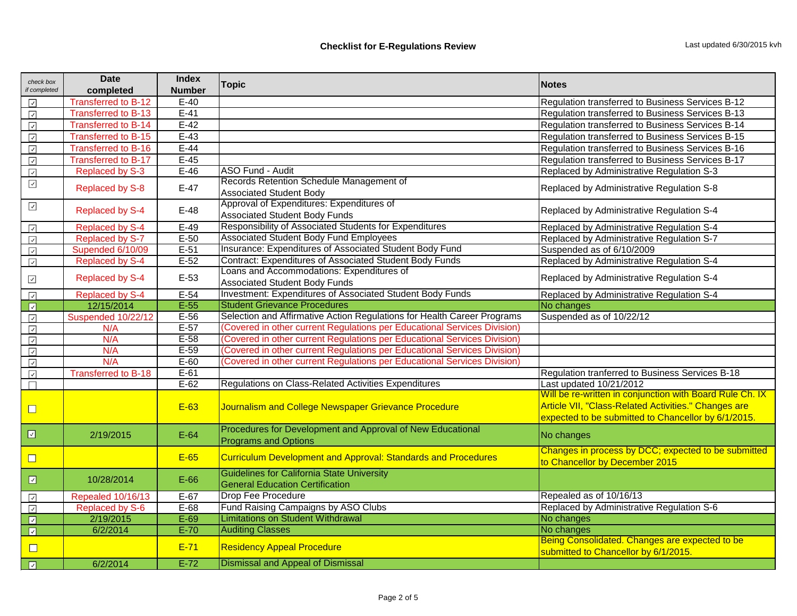| check box                               | <b>Date</b>                | <b>Index</b>  | <b>Topic</b>                                                                                | <b>Notes</b>                                                                                                                                                            |  |
|-----------------------------------------|----------------------------|---------------|---------------------------------------------------------------------------------------------|-------------------------------------------------------------------------------------------------------------------------------------------------------------------------|--|
| if completed                            | completed                  | <b>Number</b> |                                                                                             |                                                                                                                                                                         |  |
| $\checkmark$                            | <b>Transferred to B-12</b> | $E-40$        |                                                                                             | Regulation transferred to Business Services B-12                                                                                                                        |  |
| $\overline{\vee}$                       | <b>Transferred to B-13</b> | $E-41$        |                                                                                             | Regulation transferred to Business Services B-13                                                                                                                        |  |
| $\sqrt{ }$                              | <b>Transferred to B-14</b> | $E-42$        |                                                                                             | Regulation transferred to Business Services B-14                                                                                                                        |  |
| $\overline{\vee}$                       | <b>Transferred to B-15</b> | $E-43$        |                                                                                             | Regulation transferred to Business Services B-15                                                                                                                        |  |
| $\overline{\smash{\checkmark}}$         | <b>Transferred to B-16</b> | $E-44$        |                                                                                             | Regulation transferred to Business Services B-16                                                                                                                        |  |
| $\overline{\smash[b]{\smallsetminus}}$  | <b>Transferred to B-17</b> | $E-45$        |                                                                                             | Regulation transferred to Business Services B-17                                                                                                                        |  |
| $\overline{\mathsf{v}}$                 | <b>Replaced by S-3</b>     | $E-46$        | <b>ASO Fund - Audit</b>                                                                     | Replaced by Administrative Regulation S-3                                                                                                                               |  |
| $\checkmark$                            | <b>Replaced by S-8</b>     | $E-47$        | Records Retention Schedule Management of<br><b>Associated Student Body</b>                  | Replaced by Administrative Regulation S-8                                                                                                                               |  |
| $\checkmark$                            | <b>Replaced by S-4</b>     | $E-48$        | Approval of Expenditures: Expenditures of<br><b>Associated Student Body Funds</b>           | Replaced by Administrative Regulation S-4                                                                                                                               |  |
| $\sqrt{ }$                              | Replaced by S-4            | $E-49$        | <b>Responsibility of Associated Students for Expenditures</b>                               | Replaced by Administrative Regulation S-4                                                                                                                               |  |
| $\sqrt{ }$                              | Replaced by S-7            | $E-50$        | <b>Associated Student Body Fund Employees</b>                                               | Replaced by Administrative Regulation S-7                                                                                                                               |  |
| $\overline{\mathsf{v}}$                 | Supended 6/10/09           | $E-51$        | Insurance: Expenditures of Associated Student Body Fund                                     | Suspended as of 6/10/2009                                                                                                                                               |  |
| $\sqrt{ }$                              | Replaced by S-4            | $E-52$        | Contract: Expenditures of Associated Student Body Funds                                     | Replaced by Administrative Regulation S-4                                                                                                                               |  |
| $\checkmark$                            | <b>Replaced by S-4</b>     | $E-53$        | Loans and Accommodations: Expenditures of<br><b>Associated Student Body Funds</b>           | Replaced by Administrative Regulation S-4                                                                                                                               |  |
| $\blacktriangledown$                    | Replaced by S-4            | $E-54$        | <b>Investment: Expenditures of Associated Student Body Funds</b>                            | Replaced by Administrative Regulation S-4                                                                                                                               |  |
| $\boxed{2}$                             | 12/15/2014                 | $E-55$        | <b>Student Grievance Procedures</b>                                                         | No changes                                                                                                                                                              |  |
| $\sqrt{ }$                              | Suspended 10/22/12         | $E-56$        | Selection and Affirmative Action Regulations for Health Career Programs                     | Suspended as of 10/22/12                                                                                                                                                |  |
| $\overline{\mathcal{A}}$                | N/A                        | $E-57$        | (Covered in other current Regulations per Educational Services Division)                    |                                                                                                                                                                         |  |
| $\overline{\vee}$                       | N/A                        | $E-58$        | (Covered in other current Regulations per Educational Services Division)                    |                                                                                                                                                                         |  |
| $\sqrt{ }$                              | N/A                        | $E-59$        | (Covered in other current Regulations per Educational Services Division)                    |                                                                                                                                                                         |  |
| $\sqrt{ }$                              | N/A                        | $E-60$        | (Covered in other current Regulations per Educational Services Division)                    |                                                                                                                                                                         |  |
| $\sqrt{ }$                              | <b>Transferred to B-18</b> | $E-61$        |                                                                                             | Regulation tranferred to Business Services B-18                                                                                                                         |  |
| П                                       |                            | $E-62$        | Regulations on Class-Related Activities Expenditures                                        | Last updated 10/21/2012                                                                                                                                                 |  |
| $\Box$                                  |                            | E-63          | Journalism and College Newspaper Grievance Procedure                                        | Will be re-written in conjunction with Board Rule Ch. IX<br>Article VII, "Class-Related Activities." Changes are<br>expected to be submitted to Chancellor by 6/1/2015. |  |
| $\boxed{\textcolor{blue}{\mathcal{Q}}}$ | 2/19/2015                  | $E-64$        | Procedures for Development and Approval of New Educational<br><b>Programs and Options</b>   | No changes                                                                                                                                                              |  |
| $\Box$                                  |                            | E-65          | <b>Curriculum Development and Approval: Standards and Procedures</b>                        | Changes in process by DCC; expected to be submitted<br>to Chancellor by December 2015                                                                                   |  |
| $\hfill \square$                        | 10/28/2014                 | $E-66$        | <b>Guidelines for California State University</b><br><b>General Education Certification</b> |                                                                                                                                                                         |  |
| $\checkmark$                            | Repealed 10/16/13          | $E-67$        | <b>Drop Fee Procedure</b>                                                                   | Repealed as of 10/16/13                                                                                                                                                 |  |
| $\overline{\smash{\checkmark}}$         | <b>Replaced by S-6</b>     | $E-68$        | Fund Raising Campaigns by ASO Clubs                                                         | Replaced by Administrative Regulation S-6                                                                                                                               |  |
| $\boxed{2}$                             | 2/19/2015                  | $E-69$        | <b>Limitations on Student Withdrawal</b>                                                    | No changes                                                                                                                                                              |  |
| $\boxed{\mathbb{Z}}$                    | 6/2/2014                   | $E-70$        | <b>Auditing Classes</b>                                                                     | No changes                                                                                                                                                              |  |
| $\Box$                                  |                            | $E-71$        | <b>Residency Appeal Procedure</b>                                                           | Being Consolidated. Changes are expected to be<br>submitted to Chancellor by 6/1/2015.                                                                                  |  |
| $\Box$                                  | 6/2/2014                   | $E-72$        | <b>Dismissal and Appeal of Dismissal</b>                                                    |                                                                                                                                                                         |  |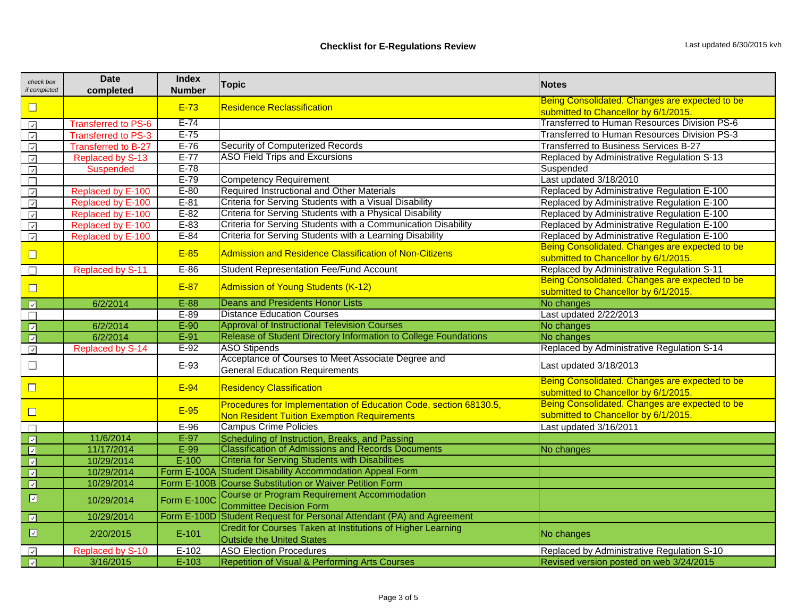| check box<br>if completed               | <b>Date</b><br>completed   | <b>Index</b><br><b>Number</b> | <b>Topic</b>                                                       | Notes                                          |  |  |
|-----------------------------------------|----------------------------|-------------------------------|--------------------------------------------------------------------|------------------------------------------------|--|--|
|                                         |                            |                               | Being Consolidated. Changes are expected to be                     |                                                |  |  |
| $\Box$                                  |                            | $E-73$                        | <b>Residence Reclassification</b>                                  | submitted to Chancellor by 6/1/2015.           |  |  |
| $\checkmark$                            | <b>Transferred to PS-6</b> | $E-74$                        |                                                                    | Transferred to Human Resources Division PS-6   |  |  |
| $\checkmark$                            | <b>Transferred to PS-3</b> | $E-75$                        |                                                                    | Transferred to Human Resources Division PS-3   |  |  |
| $\backsim$                              | <b>Transferred to B-27</b> | $E-76$                        | <b>Security of Computerized Records</b>                            | <b>Transferred to Business Services B-27</b>   |  |  |
| $\checkmark$                            | Replaced by S-13           | $E-77$                        | <b>ASO Field Trips and Excursions</b>                              | Replaced by Administrative Regulation S-13     |  |  |
| $\checkmark$                            | <b>Suspended</b>           | $E-78$                        |                                                                    | Suspended                                      |  |  |
| $\Box$                                  |                            | $E-79$                        | <b>Competency Requirement</b>                                      | Last updated 3/18/2010                         |  |  |
| $\checkmark$                            | Replaced by E-100          | $E-80$                        | <b>Required Instructional and Other Materials</b>                  | Replaced by Administrative Regulation E-100    |  |  |
| $\checkmark$                            | Replaced by E-100          | $E-81$                        | Criteria for Serving Students with a Visual Disability             | Replaced by Administrative Regulation E-100    |  |  |
| $\overline{\smile}$                     | Replaced by E-100          | $E-82$                        | Criteria for Serving Students with a Physical Disability           | Replaced by Administrative Regulation E-100    |  |  |
| $\checkmark$                            | Replaced by E-100          | $E-83$                        | Criteria for Serving Students with a Communication Disability      | Replaced by Administrative Regulation E-100    |  |  |
| $\checkmark$                            | Replaced by E-100          | $E-84$                        | Criteria for Serving Students with a Learning Disability           | Replaced by Administrative Regulation E-100    |  |  |
|                                         |                            |                               |                                                                    | Being Consolidated. Changes are expected to be |  |  |
| $\Box$                                  |                            | E-85                          | <b>Admission and Residence Classification of Non-Citizens</b>      | submitted to Chancellor by 6/1/2015.           |  |  |
|                                         | <b>Replaced by S-11</b>    | $E-86$                        | <b>Student Representation Fee/Fund Account</b>                     | Replaced by Administrative Regulation S-11     |  |  |
|                                         |                            |                               | Admission of Young Students (K-12)                                 | Being Consolidated. Changes are expected to be |  |  |
| $\Box$                                  |                            | E-87                          |                                                                    | submitted to Chancellor by 6/1/2015.           |  |  |
| $\boxed{\mathbb{Z}}$                    | 6/2/2014                   | $E-88$                        | <b>Deans and Presidents Honor Lists</b>                            | No changes                                     |  |  |
|                                         |                            | $E-89$                        | <b>Distance Education Courses</b>                                  | Last updated 2/22/2013                         |  |  |
| $\boxed{\textcolor{blue}{\mathcal{L}}}$ | 6/2/2014                   | $E-90$                        | <b>Approval of Instructional Television Courses</b>                | No changes                                     |  |  |
| $\overline{\mathbf{z}}$                 | 6/2/2014                   | $E-91$                        | Release of Student Directory Information to College Foundations    | No changes                                     |  |  |
| $\backsim$                              | Replaced by S-14           | $E-92$                        | <b>ASO Stipends</b>                                                | Replaced by Administrative Regulation S-14     |  |  |
|                                         |                            |                               | Acceptance of Courses to Meet Associate Degree and                 |                                                |  |  |
| $\Box$                                  |                            | E-93                          | <b>General Education Requirements</b>                              | Last updated 3/18/2013                         |  |  |
| $\Box$                                  |                            | $E-94$                        | <b>Residency Classification</b>                                    | Being Consolidated. Changes are expected to be |  |  |
|                                         |                            |                               |                                                                    | submitted to Chancellor by 6/1/2015.           |  |  |
|                                         |                            |                               | Procedures for Implementation of Education Code, section 68130.5,  | Being Consolidated. Changes are expected to be |  |  |
| $\Box$                                  |                            | E-95                          | <b>Non Resident Tuition Exemption Requirements</b>                 | submitted to Chancellor by 6/1/2015.           |  |  |
|                                         |                            | $E-96$                        | <b>Campus Crime Policies</b>                                       | Last updated 3/16/2011                         |  |  |
| $\boxed{3}$                             | 11/6/2014                  | $E-97$                        | Scheduling of Instruction, Breaks, and Passing                     |                                                |  |  |
| $\boxed{\textcolor{blue}{\mathcal{L}}}$ | 11/17/2014                 | $E-99$                        | <b>Classification of Admissions and Records Documents</b>          | No changes                                     |  |  |
| $\boxed{\textcolor{blue}{\Delta}}$      | 10/29/2014                 | $E-100$                       | <b>Criteria for Serving Students with Disabilities</b>             |                                                |  |  |
| $\boxed{\color{red}2}$                  | 10/29/2014                 |                               | Form E-100A Student Disability Accommodation Appeal Form           |                                                |  |  |
| $\boxed{\text{v}}$                      | 10/29/2014                 |                               | Form E-100B Course Substitution or Waiver Petition Form            |                                                |  |  |
| ⊡                                       | 10/29/2014                 |                               | <b>Course or Program Requirement Accommodation</b>                 |                                                |  |  |
|                                         |                            | Form E-100C                   | <b>Committee Decision Form</b>                                     |                                                |  |  |
| $\boxed{\text{v}}$                      | 10/29/2014                 | Form E-100D                   | Student Request for Personal Attendant (PA) and Agreement          |                                                |  |  |
| $\boxed{\mathcal{L}}$                   | 2/20/2015                  | $E-101$                       | <b>Credit for Courses Taken at Institutions of Higher Learning</b> |                                                |  |  |
|                                         |                            |                               | <b>Outside the United States</b>                                   | No changes                                     |  |  |
| $\backsim$                              | Replaced by S-10           | $E-102$                       | <b>ASO Election Procedures</b>                                     | Replaced by Administrative Regulation S-10     |  |  |
| $\boxed{3}$                             | 3/16/2015                  | $E-103$                       | <b>Repetition of Visual &amp; Performing Arts Courses</b>          | Revised version posted on web 3/24/2015        |  |  |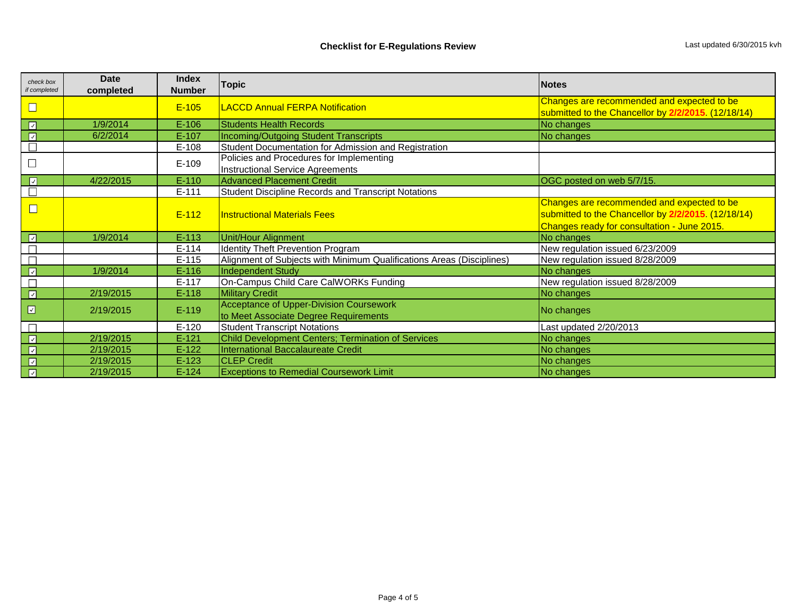| check box        | <b>Date</b> | <b>Index</b>  | <b>Topic</b><br><b>Notes</b>                                          |                                                     |  |
|------------------|-------------|---------------|-----------------------------------------------------------------------|-----------------------------------------------------|--|
| if completed     | completed   | <b>Number</b> |                                                                       |                                                     |  |
| $\Box$           |             | $E-105$       | <b>LACCD Annual FERPA Notification</b>                                | Changes are recommended and expected to be          |  |
|                  |             |               |                                                                       | submitted to the Chancellor by 2/2/2015. (12/18/14) |  |
| $\sqrt{2}$       | 1/9/2014    | $E-106$       | <b>Students Health Records</b>                                        | No changes                                          |  |
| $\boxed{7}$      | 6/2/2014    | $E-107$       | Incoming/Outgoing Student Transcripts                                 | No changes                                          |  |
|                  |             | $E-108$       | Student Documentation for Admission and Registration                  |                                                     |  |
|                  |             |               | Policies and Procedures for Implementing                              |                                                     |  |
|                  |             | $E-109$       | Instructional Service Agreements                                      |                                                     |  |
| $\boxed{3}$      | 4/22/2015   | $E-110$       | <b>Advanced Placement Credit</b>                                      | OGC posted on web 5/7/15.                           |  |
|                  |             | $E-111$       | <b>Student Discipline Records and Transcript Notations</b>            |                                                     |  |
| $\Box$           |             |               |                                                                       | Changes are recommended and expected to be          |  |
|                  |             | $E-112$       | <b>Instructional Materials Fees</b>                                   | submitted to the Chancellor by 2/2/2015. (12/18/14) |  |
|                  |             |               |                                                                       | Changes ready for consultation - June 2015.         |  |
| $\Box$           | 1/9/2014    | $E-113$       | Unit/Hour Alignment                                                   | No changes                                          |  |
|                  |             | $E-114$       | <b>Identity Theft Prevention Program</b>                              | New regulation issued 6/23/2009                     |  |
|                  |             | $E-115$       | Alignment of Subjects with Minimum Qualifications Areas (Disciplines) | New regulation issued 8/28/2009                     |  |
| $\boxed{7}$      | 1/9/2014    | $E-116$       | Independent Study                                                     | No changes                                          |  |
|                  |             | $E-117$       | On-Campus Child Care CalWORKs Funding                                 | New regulation issued 8/28/2009                     |  |
| $\Box$           | 2/19/2015   | $E-118$       | <b>Military Credit</b>                                                | No changes                                          |  |
| $\boxed{\omega}$ | 2/19/2015   | $E-119$       | <b>Acceptance of Upper-Division Coursework</b>                        |                                                     |  |
|                  |             |               | to Meet Associate Degree Requirements                                 | No changes                                          |  |
|                  |             | $E-120$       | <b>Student Transcript Notations</b>                                   | Last updated 2/20/2013                              |  |
| $\boxed{3}$      | 2/19/2015   | $E-121$       | Child Development Centers; Termination of Services                    | No changes                                          |  |
| $\boxed{7}$      | 2/19/2015   | $E-122$       | International Baccalaureate Credit                                    | No changes                                          |  |
| $\boxed{v}$      | 2/19/2015   | $E-123$       | <b>CLEP Credit</b>                                                    | No changes                                          |  |
| $\boxed{7}$      | 2/19/2015   | $E-124$       | <b>Exceptions to Remedial Coursework Limit</b>                        | No changes                                          |  |